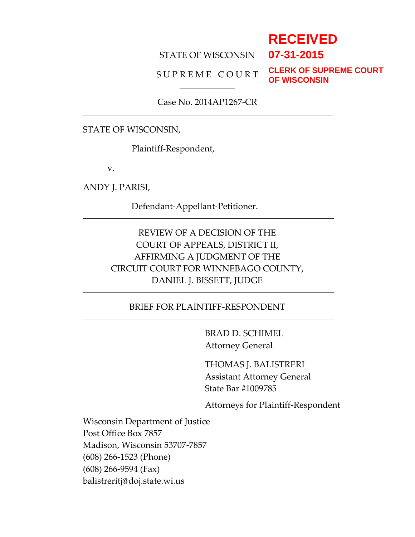# **RECEIVED**

**07-31-2015**

#### STATE OF WISCONSIN

#### SUPREME COURT

**CLERK OF SUPREME COURT OF WISCONSIN**

Case No. 2014AP1267-CR

#### STATE OF WISCONSIN,

Plaintiff-Respondent,

v.

ANDY J. PARISI,

Defendant-Appellant-Petitioner.

## REVIEW OF A DECISION OF THE COURT OF APPEALS, DISTRICT II, AFFIRMING A JUDGMENT OF THE CIRCUIT COURT FOR WINNEBAGO COUNTY, DANIEL J. BISSETT, JUDGE

### BRIEF FOR PLAINTIFF-RESPONDENT

BRAD D. SCHIMEL Attorney General

THOMAS J. BALISTRERI Assistant Attorney General State Bar #1009785

Attorneys for Plaintiff-Respondent

Wisconsin Department of Justice Post Office Box 7857 Madison, Wisconsin 53707-7857 (608) 266-1523 (Phone) (608) 266-9594 (Fax) balistreritj@doj.state.wi.us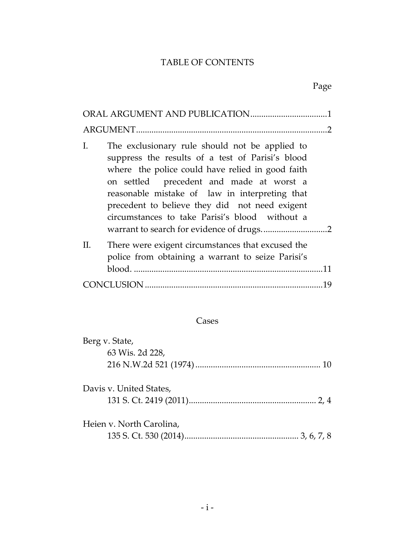# TABLE OF CONTENTS

# Page

| Ι.<br>The exclusionary rule should not be applied to<br>suppress the results of a test of Parisi's blood<br>where the police could have relied in good faith<br>on settled precedent and made at worst a<br>reasonable mistake of law in interpreting that<br>precedent to believe they did not need exigent<br>circumstances to take Parisi's blood without a |
|----------------------------------------------------------------------------------------------------------------------------------------------------------------------------------------------------------------------------------------------------------------------------------------------------------------------------------------------------------------|
| There were exigent circumstances that excused the<br>П.<br>police from obtaining a warrant to seize Parisi's                                                                                                                                                                                                                                                   |
|                                                                                                                                                                                                                                                                                                                                                                |

### Cases

| Berg v. State,           |  |
|--------------------------|--|
| 63 Wis. 2d 228,          |  |
|                          |  |
|                          |  |
| Davis v. United States,  |  |
|                          |  |
|                          |  |
| Heien v. North Carolina, |  |
|                          |  |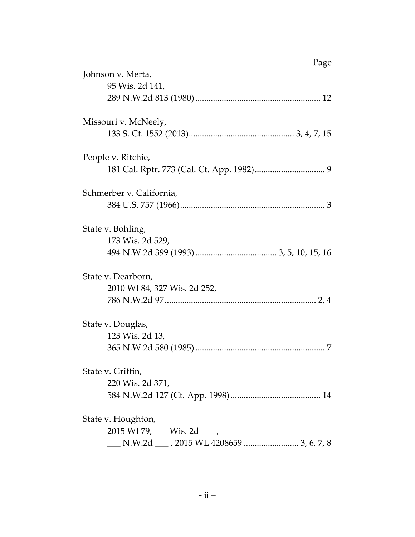| Page<br>Johnson v. Merta,     |
|-------------------------------|
|                               |
| 95 Wis. 2d 141,               |
|                               |
| Missouri v. McNeely,          |
|                               |
| People v. Ritchie,            |
|                               |
| Schmerber v. California,      |
|                               |
| State v. Bohling,             |
| 173 Wis. 2d 529,              |
|                               |
| State v. Dearborn,            |
| 2010 WI 84, 327 Wis. 2d 252,  |
|                               |
|                               |
| State v. Douglas,             |
| 123 Wis. 2d 13,               |
|                               |
| State v. Griffin,             |
| 220 Wis. 2d 371,              |
|                               |
| State v. Houghton,            |
| 2015 WI 79, ___ Wis. 2d ___ , |
|                               |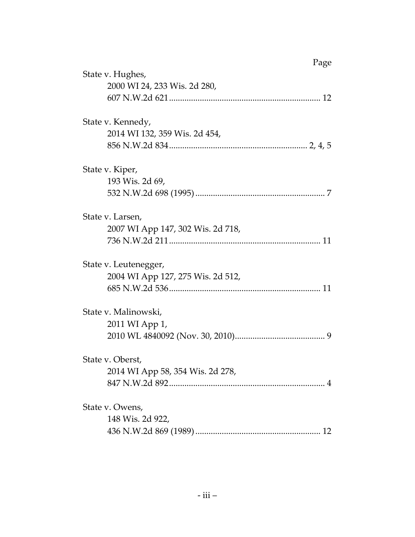| Page                              |  |
|-----------------------------------|--|
| State v. Hughes,                  |  |
| 2000 WI 24, 233 Wis. 2d 280,      |  |
|                                   |  |
| State v. Kennedy,                 |  |
| 2014 WI 132, 359 Wis. 2d 454,     |  |
|                                   |  |
| State v. Kiper,                   |  |
| 193 Wis. 2d 69,                   |  |
|                                   |  |
| State v. Larsen,                  |  |
| 2007 WI App 147, 302 Wis. 2d 718, |  |
|                                   |  |
| State v. Leutenegger,             |  |
| 2004 WI App 127, 275 Wis. 2d 512, |  |
|                                   |  |
| State v. Malinowski,              |  |
| 2011 WI App 1,                    |  |
|                                   |  |
| State v. Oberst,                  |  |
| 2014 WI App 58, 354 Wis. 2d 278,  |  |
|                                   |  |
| State v. Owens,                   |  |
| 148 Wis. 2d 922,                  |  |
|                                   |  |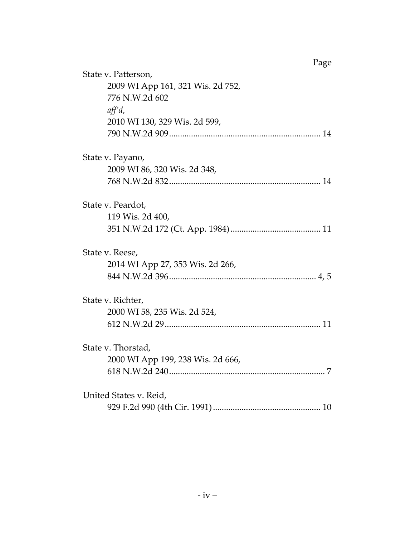|                        | State v. Patterson,               |  |
|------------------------|-----------------------------------|--|
|                        | 2009 WI App 161, 321 Wis. 2d 752, |  |
|                        | 776 N.W.2d 602                    |  |
|                        | $\mathit{aff}^{\prime} d$ ,       |  |
|                        | 2010 WI 130, 329 Wis. 2d 599,     |  |
|                        |                                   |  |
|                        | State v. Payano,                  |  |
|                        | 2009 WI 86, 320 Wis. 2d 348,      |  |
|                        |                                   |  |
|                        | State v. Peardot,                 |  |
|                        | 119 Wis. 2d 400,                  |  |
|                        |                                   |  |
|                        | State v. Reese,                   |  |
|                        | 2014 WI App 27, 353 Wis. 2d 266,  |  |
|                        |                                   |  |
|                        | State v. Richter,                 |  |
|                        | 2000 WI 58, 235 Wis. 2d 524,      |  |
|                        |                                   |  |
|                        | State v. Thorstad,                |  |
|                        | 2000 WI App 199, 238 Wis. 2d 666, |  |
|                        |                                   |  |
| United States v. Reid, |                                   |  |
|                        |                                   |  |
|                        |                                   |  |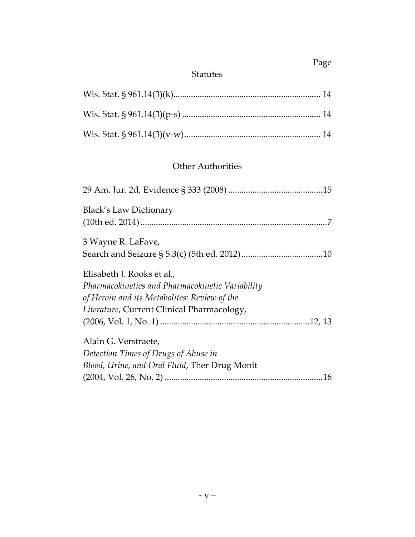# Page

## Statutes

## Other Authorities

| <b>Black's Law Dictionary</b>                                                                                                                                                |
|------------------------------------------------------------------------------------------------------------------------------------------------------------------------------|
| 3 Wayne R. LaFave,                                                                                                                                                           |
| Elisabeth J. Rooks et al.,<br>Pharmacokinetics and Pharmacokinetic Variability<br>of Heroin and its Metabolites: Review of the<br>Literature, Current Clinical Pharmacology, |
| Alain G. Verstraete,<br>Detection Times of Drugs of Abuse in<br>Blood, Urine, and Oral Fluid, Ther Drug Monit                                                                |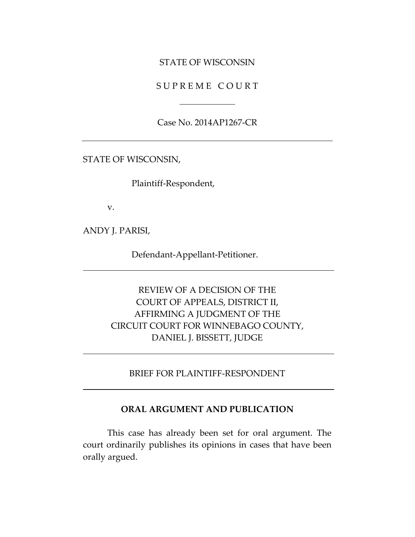#### STATE OF WISCONSIN

S U P R E M E C O U R T

Case No. 2014AP1267-CR

STATE OF WISCONSIN,

Plaintiff-Respondent,

v.

ANDY J. PARISI,

Defendant-Appellant-Petitioner.

## REVIEW OF A DECISION OF THE COURT OF APPEALS, DISTRICT II, AFFIRMING A JUDGMENT OF THE CIRCUIT COURT FOR WINNEBAGO COUNTY, DANIEL J. BISSETT, JUDGE

BRIEF FOR PLAINTIFF-RESPONDENT

#### **ORAL ARGUMENT AND PUBLICATION**

This case has already been set for oral argument. The court ordinarily publishes its opinions in cases that have been orally argued.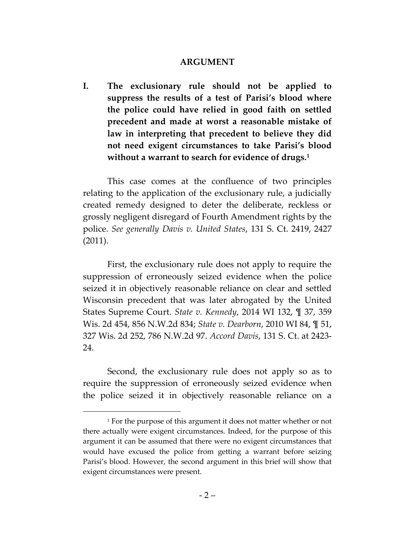#### **ARGUMENT**

**I. The exclusionary rule should not be applied to suppress the results of a test of Parisi's blood where the police could have relied in good faith on settled precedent and made at worst a reasonable mistake of law in interpreting that precedent to believe they did not need exigent circumstances to take Parisi's blood without a warrant to search for evidence of drugs.<sup>1</sup>**

This case comes at the confluence of two principles relating to the application of the exclusionary rule, a judicially created remedy designed to deter the deliberate, reckless or grossly negligent disregard of Fourth Amendment rights by the police. *See generally Davis v. United States*, 131 S. Ct. 2419, 2427 (2011).

First, the exclusionary rule does not apply to require the suppression of erroneously seized evidence when the police seized it in objectively reasonable reliance on clear and settled Wisconsin precedent that was later abrogated by the United States Supreme Court. *State v. Kennedy*, 2014 WI 132, ¶ 37, 359 Wis. 2d 454, 856 N.W.2d 834; *State v. Dearborn*, 2010 WI 84, ¶ 51, 327 Wis. 2d 252, 786 N.W.2d 97. *Accord Davis*, 131 S. Ct. at 2423- 24.

Second, the exclusionary rule does not apply so as to require the suppression of erroneously seized evidence when the police seized it in objectively reasonable reliance on a

 $\overline{a}$ 

<sup>&</sup>lt;sup>1</sup> For the purpose of this argument it does not matter whether or not there actually were exigent circumstances. Indeed, for the purpose of this argument it can be assumed that there were no exigent circumstances that would have excused the police from getting a warrant before seizing Parisi's blood. However, the second argument in this brief will show that exigent circumstances were present.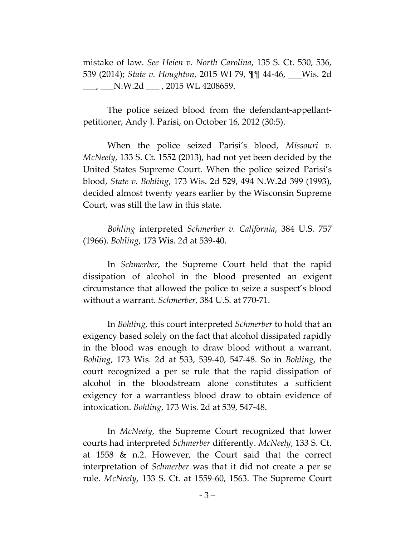mistake of law. *See Heien v. North Carolina*, 135 S. Ct. 530, 536, 539 (2014); *State v. Houghton*, 2015 WI 79, ¶¶ 44-46, \_\_\_Wis. 2d  $\frac{1}{100}$ ,  $\frac{1}{100}$  N.W.2d  $\frac{1}{100}$ , 2015 WL 4208659.

The police seized blood from the defendant-appellantpetitioner, Andy J. Parisi, on October 16, 2012 (30:5).

When the police seized Parisi's blood, *Missouri v. McNeely*, 133 S. Ct. 1552 (2013), had not yet been decided by the United States Supreme Court. When the police seized Parisi's blood, *State v. Bohling*, 173 Wis. 2d 529, 494 N.W.2d 399 (1993), decided almost twenty years earlier by the Wisconsin Supreme Court, was still the law in this state.

*Bohling* interpreted *Schmerber v. California*, 384 U.S. 757 (1966). *Bohling*, 173 Wis. 2d at 539-40.

In *Schmerber*, the Supreme Court held that the rapid dissipation of alcohol in the blood presented an exigent circumstance that allowed the police to seize a suspect's blood without a warrant. *Schmerber*, 384 U.S. at 770-71.

In *Bohling*, this court interpreted *Schmerber* to hold that an exigency based solely on the fact that alcohol dissipated rapidly in the blood was enough to draw blood without a warrant. *Bohling*, 173 Wis. 2d at 533, 539-40, 547-48. So in *Bohling*, the court recognized a per se rule that the rapid dissipation of alcohol in the bloodstream alone constitutes a sufficient exigency for a warrantless blood draw to obtain evidence of intoxication. *Bohling*, 173 Wis. 2d at 539, 547-48.

In *McNeely*, the Supreme Court recognized that lower courts had interpreted *Schmerber* differently. *McNeely*, 133 S. Ct. at 1558 & n.2. However, the Court said that the correct interpretation of *Schmerber* was that it did not create a per se rule. *McNeely*, 133 S. Ct. at 1559-60, 1563. The Supreme Court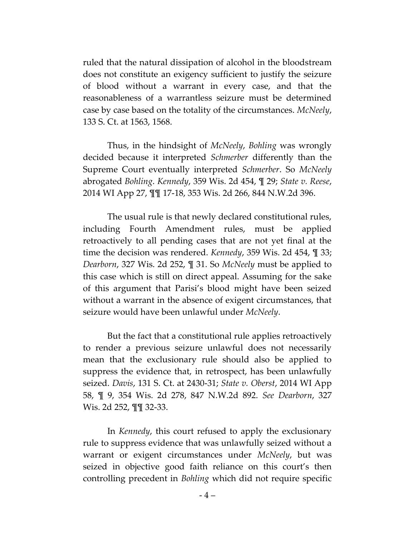ruled that the natural dissipation of alcohol in the bloodstream does not constitute an exigency sufficient to justify the seizure of blood without a warrant in every case, and that the reasonableness of a warrantless seizure must be determined case by case based on the totality of the circumstances. *McNeely*, 133 S. Ct. at 1563, 1568.

Thus, in the hindsight of *McNeely*, *Bohling* was wrongly decided because it interpreted *Schmerber* differently than the Supreme Court eventually interpreted *Schmerber*. So *McNeely* abrogated *Bohling*. *Kennedy*, 359 Wis. 2d 454, ¶ 29; *State v. Reese*, 2014 WI App 27, ¶¶ 17-18, 353 Wis. 2d 266, 844 N.W.2d 396.

The usual rule is that newly declared constitutional rules, including Fourth Amendment rules, must be applied retroactively to all pending cases that are not yet final at the time the decision was rendered. *Kennedy*, 359 Wis. 2d 454, ¶ 33; *Dearborn*, 327 Wis. 2d 252, ¶ 31. So *McNeely* must be applied to this case which is still on direct appeal. Assuming for the sake of this argument that Parisi's blood might have been seized without a warrant in the absence of exigent circumstances, that seizure would have been unlawful under *McNeely*.

But the fact that a constitutional rule applies retroactively to render a previous seizure unlawful does not necessarily mean that the exclusionary rule should also be applied to suppress the evidence that, in retrospect, has been unlawfully seized. *Davis*, 131 S. Ct. at 2430-31; *State v. Oberst*, 2014 WI App 58, ¶ 9, 354 Wis. 2d 278, 847 N.W.2d 892. *See Dearborn*, 327 Wis. 2d 252, ¶¶ 32-33.

In *Kennedy*, this court refused to apply the exclusionary rule to suppress evidence that was unlawfully seized without a warrant or exigent circumstances under *McNeely*, but was seized in objective good faith reliance on this court's then controlling precedent in *Bohling* which did not require specific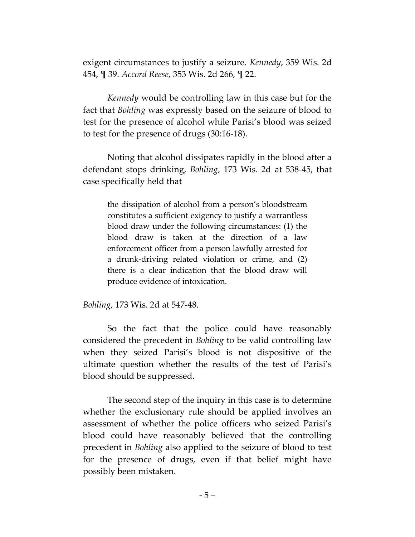exigent circumstances to justify a seizure. *Kennedy*, 359 Wis. 2d 454, ¶ 39. *Accord Reese*, 353 Wis. 2d 266, ¶ 22.

*Kennedy* would be controlling law in this case but for the fact that *Bohling* was expressly based on the seizure of blood to test for the presence of alcohol while Parisi's blood was seized to test for the presence of drugs (30:16-18).

Noting that alcohol dissipates rapidly in the blood after a defendant stops drinking, *Bohling*, 173 Wis. 2d at 538-45, that case specifically held that

the dissipation of alcohol from a person's bloodstream constitutes a sufficient exigency to justify a warrantless blood draw under the following circumstances: (1) the blood draw is taken at the direction of a law enforcement officer from a person lawfully arrested for a drunk-driving related violation or crime, and (2) there is a clear indication that the blood draw will produce evidence of intoxication.

*Bohling*, 173 Wis. 2d at 547-48.

So the fact that the police could have reasonably considered the precedent in *Bohling* to be valid controlling law when they seized Parisi's blood is not dispositive of the ultimate question whether the results of the test of Parisi's blood should be suppressed.

The second step of the inquiry in this case is to determine whether the exclusionary rule should be applied involves an assessment of whether the police officers who seized Parisi's blood could have reasonably believed that the controlling precedent in *Bohling* also applied to the seizure of blood to test for the presence of drugs, even if that belief might have possibly been mistaken.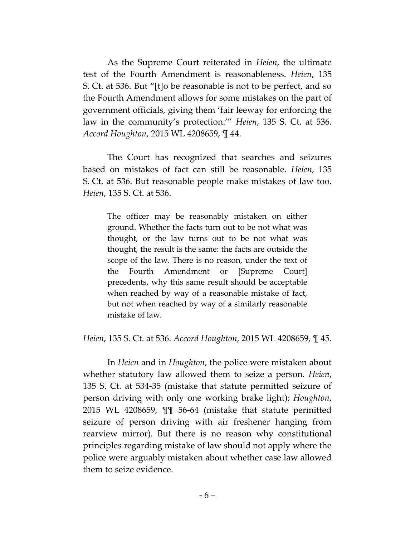As the Supreme Court reiterated in *Heien*, the ultimate test of the Fourth Amendment is reasonableness. *Heien*, 135 S. Ct. at 536. But "[t]o be reasonable is not to be perfect, and so the Fourth Amendment allows for some mistakes on the part of government officials, giving them 'fair leeway for enforcing the law in the community's protection.'" *Heien*, 135 S. Ct. at 536. *Accord Houghton*, 2015 WL 4208659, ¶ 44.

The Court has recognized that searches and seizures based on mistakes of fact can still be reasonable. *Heien*, 135 S. Ct. at 536. But reasonable people make mistakes of law too. *Heien*, 135 S. Ct. at 536.

The officer may be reasonably mistaken on either ground. Whether the facts turn out to be not what was thought, or the law turns out to be not what was thought, the result is the same: the facts are outside the scope of the law. There is no reason, under the text of the Fourth Amendment or [Supreme Court] precedents, why this same result should be acceptable when reached by way of a reasonable mistake of fact, but not when reached by way of a similarly reasonable mistake of law.

*Heien*, 135 S. Ct. at 536. *Accord Houghton*, 2015 WL 4208659, ¶ 45.

In *Heien* and in *Houghton*, the police were mistaken about whether statutory law allowed them to seize a person. *Heien*, 135 S. Ct. at 534-35 (mistake that statute permitted seizure of person driving with only one working brake light); *Houghton*, 2015 WL 4208659, ¶¶ 56-64 (mistake that statute permitted seizure of person driving with air freshener hanging from rearview mirror). But there is no reason why constitutional principles regarding mistake of law should not apply where the police were arguably mistaken about whether case law allowed them to seize evidence.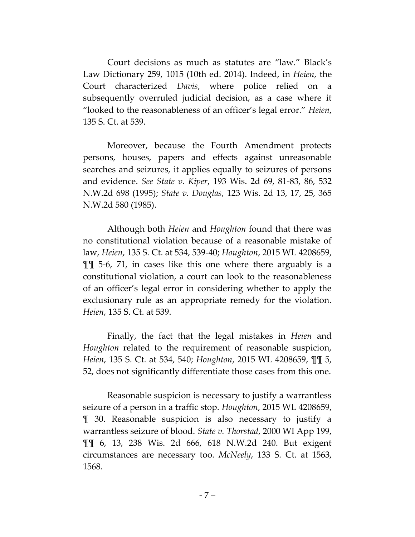Court decisions as much as statutes are "law." Black's Law Dictionary 259, 1015 (10th ed. 2014). Indeed, in *Heien*, the Court characterized *Davis*, where police relied on a subsequently overruled judicial decision, as a case where it "looked to the reasonableness of an officer's legal error." *Heien*, 135 S. Ct. at 539.

Moreover, because the Fourth Amendment protects persons, houses, papers and effects against unreasonable searches and seizures, it applies equally to seizures of persons and evidence. *See State v. Kiper*, 193 Wis. 2d 69, 81-83, 86, 532 N.W.2d 698 (1995); *State v. Douglas*, 123 Wis. 2d 13, 17, 25, 365 N.W.2d 580 (1985).

Although both *Heien* and *Houghton* found that there was no constitutional violation because of a reasonable mistake of law, *Heien*, 135 S. Ct. at 534, 539-40; *Houghton*, 2015 WL 4208659, ¶¶ 5-6, 71, in cases like this one where there arguably is a constitutional violation, a court can look to the reasonableness of an officer's legal error in considering whether to apply the exclusionary rule as an appropriate remedy for the violation. *Heien*, 135 S. Ct. at 539.

Finally, the fact that the legal mistakes in *Heien* and *Houghton* related to the requirement of reasonable suspicion, *Heien*, 135 S. Ct. at 534, 540; *Houghton*, 2015 WL 4208659, ¶¶ 5, 52, does not significantly differentiate those cases from this one.

Reasonable suspicion is necessary to justify a warrantless seizure of a person in a traffic stop. *Houghton*, 2015 WL 4208659, ¶ 30. Reasonable suspicion is also necessary to justify a warrantless seizure of blood. *State v. Thorstad*, 2000 WI App 199, ¶¶ 6, 13, 238 Wis. 2d 666, 618 N.W.2d 240. But exigent circumstances are necessary too. *McNeely*, 133 S. Ct. at 1563, 1568.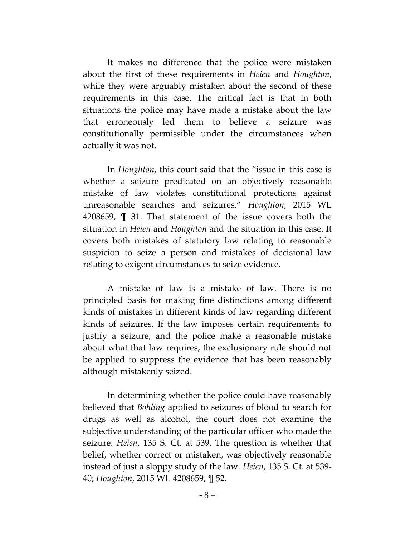It makes no difference that the police were mistaken about the first of these requirements in *Heien* and *Houghton*, while they were arguably mistaken about the second of these requirements in this case. The critical fact is that in both situations the police may have made a mistake about the law that erroneously led them to believe a seizure was constitutionally permissible under the circumstances when actually it was not.

In *Houghton*, this court said that the "issue in this case is whether a seizure predicated on an objectively reasonable mistake of law violates constitutional protections against unreasonable searches and seizures." *Houghton*, 2015 WL 4208659, ¶ 31. That statement of the issue covers both the situation in *Heien* and *Houghton* and the situation in this case. It covers both mistakes of statutory law relating to reasonable suspicion to seize a person and mistakes of decisional law relating to exigent circumstances to seize evidence.

A mistake of law is a mistake of law. There is no principled basis for making fine distinctions among different kinds of mistakes in different kinds of law regarding different kinds of seizures. If the law imposes certain requirements to justify a seizure, and the police make a reasonable mistake about what that law requires, the exclusionary rule should not be applied to suppress the evidence that has been reasonably although mistakenly seized.

In determining whether the police could have reasonably believed that *Bohling* applied to seizures of blood to search for drugs as well as alcohol, the court does not examine the subjective understanding of the particular officer who made the seizure. *Heien*, 135 S. Ct. at 539. The question is whether that belief, whether correct or mistaken, was objectively reasonable instead of just a sloppy study of the law. *Heien*, 135 S. Ct. at 539- 40; *Houghton*, 2015 WL 4208659, ¶ 52.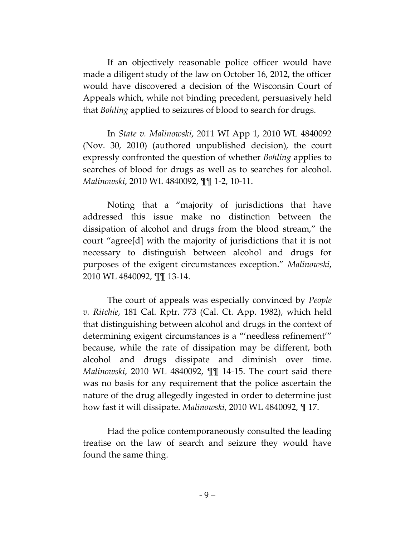If an objectively reasonable police officer would have made a diligent study of the law on October 16, 2012, the officer would have discovered a decision of the Wisconsin Court of Appeals which, while not binding precedent, persuasively held that *Bohling* applied to seizures of blood to search for drugs.

In *State v. Malinowski*, 2011 WI App 1, 2010 WL 4840092 (Nov. 30, 2010) (authored unpublished decision), the court expressly confronted the question of whether *Bohling* applies to searches of blood for drugs as well as to searches for alcohol. *Malinowski*, 2010 WL 4840092, ¶¶ 1-2, 10-11.

Noting that a "majority of jurisdictions that have addressed this issue make no distinction between the dissipation of alcohol and drugs from the blood stream," the court "agree[d] with the majority of jurisdictions that it is not necessary to distinguish between alcohol and drugs for purposes of the exigent circumstances exception." *Malinowski*, 2010 WL 4840092, ¶¶ 13-14.

The court of appeals was especially convinced by *People v. Ritchie*, 181 Cal. Rptr. 773 (Cal. Ct. App. 1982), which held that distinguishing between alcohol and drugs in the context of determining exigent circumstances is a "'needless refinement'" because, while the rate of dissipation may be different, both alcohol and drugs dissipate and diminish over time. *Malinowski*, 2010 WL 4840092, ¶¶ 14-15. The court said there was no basis for any requirement that the police ascertain the nature of the drug allegedly ingested in order to determine just how fast it will dissipate. *Malinowski*, 2010 WL 4840092, ¶ 17.

Had the police contemporaneously consulted the leading treatise on the law of search and seizure they would have found the same thing.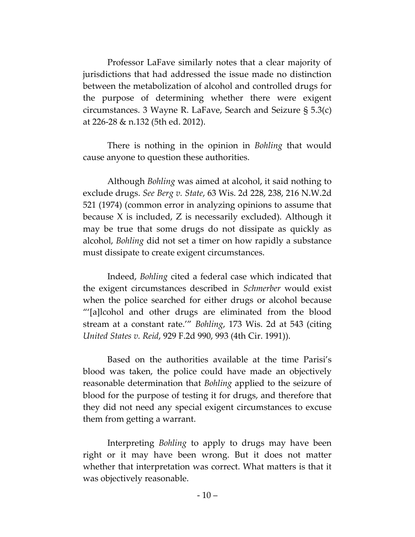Professor LaFave similarly notes that a clear majority of jurisdictions that had addressed the issue made no distinction between the metabolization of alcohol and controlled drugs for the purpose of determining whether there were exigent circumstances. 3 Wayne R. LaFave, Search and Seizure § 5.3(c) at 226-28 & n.132 (5th ed. 2012).

There is nothing in the opinion in *Bohling* that would cause anyone to question these authorities.

Although *Bohling* was aimed at alcohol, it said nothing to exclude drugs. *See Berg v. State*, 63 Wis. 2d 228, 238, 216 N.W.2d 521 (1974) (common error in analyzing opinions to assume that because X is included, Z is necessarily excluded). Although it may be true that some drugs do not dissipate as quickly as alcohol, *Bohling* did not set a timer on how rapidly a substance must dissipate to create exigent circumstances.

Indeed, *Bohling* cited a federal case which indicated that the exigent circumstances described in *Schmerber* would exist when the police searched for either drugs or alcohol because "'[a]lcohol and other drugs are eliminated from the blood stream at a constant rate.'" *Bohling*, 173 Wis. 2d at 543 (citing *United States v. Reid*, 929 F.2d 990, 993 (4th Cir. 1991)).

Based on the authorities available at the time Parisi's blood was taken, the police could have made an objectively reasonable determination that *Bohling* applied to the seizure of blood for the purpose of testing it for drugs, and therefore that they did not need any special exigent circumstances to excuse them from getting a warrant.

Interpreting *Bohling* to apply to drugs may have been right or it may have been wrong. But it does not matter whether that interpretation was correct. What matters is that it was objectively reasonable.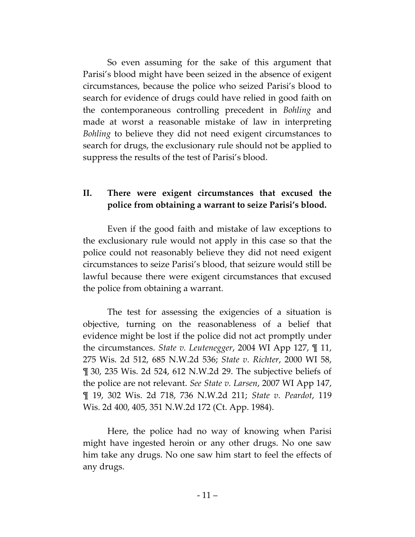So even assuming for the sake of this argument that Parisi's blood might have been seized in the absence of exigent circumstances, because the police who seized Parisi's blood to search for evidence of drugs could have relied in good faith on the contemporaneous controlling precedent in *Bohling* and made at worst a reasonable mistake of law in interpreting *Bohling* to believe they did not need exigent circumstances to search for drugs, the exclusionary rule should not be applied to suppress the results of the test of Parisi's blood.

## **II. There were exigent circumstances that excused the police from obtaining a warrant to seize Parisi's blood.**

Even if the good faith and mistake of law exceptions to the exclusionary rule would not apply in this case so that the police could not reasonably believe they did not need exigent circumstances to seize Parisi's blood, that seizure would still be lawful because there were exigent circumstances that excused the police from obtaining a warrant.

The test for assessing the exigencies of a situation is objective, turning on the reasonableness of a belief that evidence might be lost if the police did not act promptly under the circumstances. *State v. Leutenegger*, 2004 WI App 127, ¶ 11, 275 Wis. 2d 512, 685 N.W.2d 536; *State v. Richter*, 2000 WI 58, ¶ 30, 235 Wis. 2d 524, 612 N.W.2d 29. The subjective beliefs of the police are not relevant. *See State v. Larsen*, 2007 WI App 147, ¶ 19, 302 Wis. 2d 718, 736 N.W.2d 211; *State v. Peardot*, 119 Wis. 2d 400, 405, 351 N.W.2d 172 (Ct. App. 1984).

Here, the police had no way of knowing when Parisi might have ingested heroin or any other drugs. No one saw him take any drugs. No one saw him start to feel the effects of any drugs.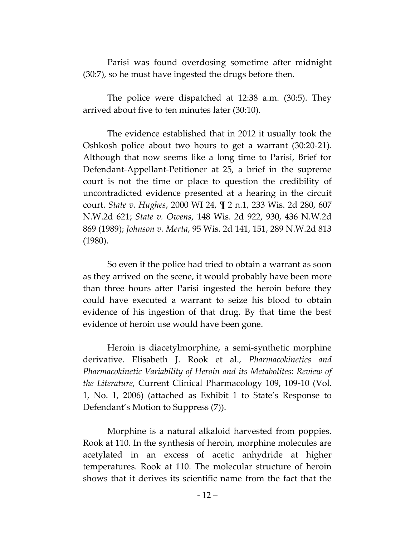Parisi was found overdosing sometime after midnight (30:7), so he must have ingested the drugs before then.

The police were dispatched at 12:38 a.m. (30:5). They arrived about five to ten minutes later (30:10).

The evidence established that in 2012 it usually took the Oshkosh police about two hours to get a warrant (30:20-21). Although that now seems like a long time to Parisi, Brief for Defendant-Appellant-Petitioner at 25, a brief in the supreme court is not the time or place to question the credibility of uncontradicted evidence presented at a hearing in the circuit court. *State v. Hughes*, 2000 WI 24, ¶ 2 n.1, 233 Wis. 2d 280, 607 N.W.2d 621; *State v. Owens*, 148 Wis. 2d 922, 930, 436 N.W.2d 869 (1989); *Johnson v. Merta*, 95 Wis. 2d 141, 151, 289 N.W.2d 813 (1980).

So even if the police had tried to obtain a warrant as soon as they arrived on the scene, it would probably have been more than three hours after Parisi ingested the heroin before they could have executed a warrant to seize his blood to obtain evidence of his ingestion of that drug. By that time the best evidence of heroin use would have been gone.

Heroin is diacetylmorphine, a semi-synthetic morphine derivative. Elisabeth J. Rook et al., *Pharmacokinetics and Pharmacokinetic Variability of Heroin and its Metabolites: Review of the Literature*, Current Clinical Pharmacology 109, 109-10 (Vol. 1, No. 1, 2006) (attached as Exhibit 1 to State's Response to Defendant's Motion to Suppress (7)).

Morphine is a natural alkaloid harvested from poppies. Rook at 110. In the synthesis of heroin, morphine molecules are acetylated in an excess of acetic anhydride at higher temperatures. Rook at 110. The molecular structure of heroin shows that it derives its scientific name from the fact that the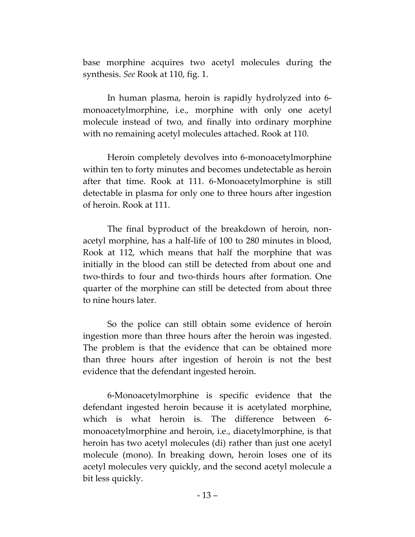base morphine acquires two acetyl molecules during the synthesis. *See* Rook at 110, fig. 1.

In human plasma, heroin is rapidly hydrolyzed into 6 monoacetylmorphine, i.e., morphine with only one acetyl molecule instead of two, and finally into ordinary morphine with no remaining acetyl molecules attached. Rook at 110.

Heroin completely devolves into 6-monoacetylmorphine within ten to forty minutes and becomes undetectable as heroin after that time. Rook at 111. 6-Monoacetylmorphine is still detectable in plasma for only one to three hours after ingestion of heroin. Rook at 111.

The final byproduct of the breakdown of heroin, nonacetyl morphine, has a half-life of 100 to 280 minutes in blood, Rook at 112, which means that half the morphine that was initially in the blood can still be detected from about one and two-thirds to four and two-thirds hours after formation. One quarter of the morphine can still be detected from about three to nine hours later.

So the police can still obtain some evidence of heroin ingestion more than three hours after the heroin was ingested. The problem is that the evidence that can be obtained more than three hours after ingestion of heroin is not the best evidence that the defendant ingested heroin.

6-Monoacetylmorphine is specific evidence that the defendant ingested heroin because it is acetylated morphine, which is what heroin is. The difference between 6 monoacetylmorphine and heroin, i.e., diacetylmorphine, is that heroin has two acetyl molecules (di) rather than just one acetyl molecule (mono). In breaking down, heroin loses one of its acetyl molecules very quickly, and the second acetyl molecule a bit less quickly.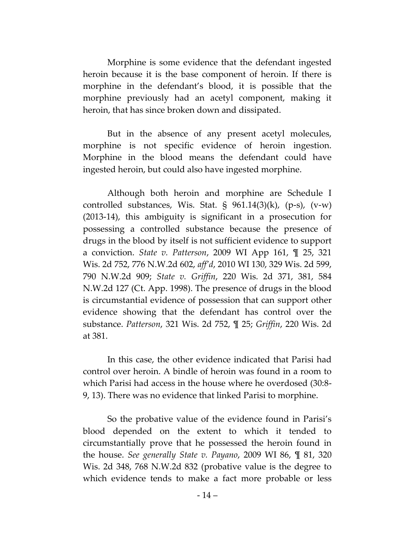Morphine is some evidence that the defendant ingested heroin because it is the base component of heroin. If there is morphine in the defendant's blood, it is possible that the morphine previously had an acetyl component, making it heroin, that has since broken down and dissipated.

But in the absence of any present acetyl molecules, morphine is not specific evidence of heroin ingestion. Morphine in the blood means the defendant could have ingested heroin, but could also have ingested morphine.

Although both heroin and morphine are Schedule I controlled substances, Wis. Stat.  $\S$  961.14(3)(k), (p-s), (v-w) (2013-14), this ambiguity is significant in a prosecution for possessing a controlled substance because the presence of drugs in the blood by itself is not sufficient evidence to support a conviction. *State v. Patterson*, 2009 WI App 161, ¶ 25, 321 Wis. 2d 752, 776 N.W.2d 602, *aff'd*, 2010 WI 130, 329 Wis. 2d 599, 790 N.W.2d 909; *State v. Griffin*, 220 Wis. 2d 371, 381, 584 N.W.2d 127 (Ct. App. 1998). The presence of drugs in the blood is circumstantial evidence of possession that can support other evidence showing that the defendant has control over the substance. *Patterson*, 321 Wis. 2d 752, ¶ 25; *Griffin*, 220 Wis. 2d at 381.

In this case, the other evidence indicated that Parisi had control over heroin. A bindle of heroin was found in a room to which Parisi had access in the house where he overdosed (30:8- 9, 13). There was no evidence that linked Parisi to morphine.

So the probative value of the evidence found in Parisi's blood depended on the extent to which it tended to circumstantially prove that he possessed the heroin found in the house. *See generally State v. Payano*, 2009 WI 86, ¶ 81, 320 Wis. 2d 348, 768 N.W.2d 832 (probative value is the degree to which evidence tends to make a fact more probable or less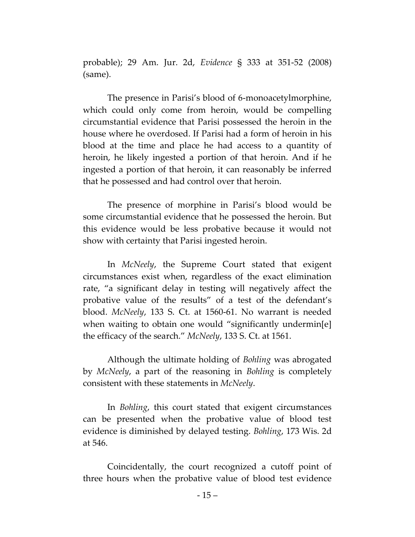probable); 29 Am. Jur. 2d, *Evidence* § 333 at 351-52 (2008) (same).

The presence in Parisi's blood of 6-monoacetylmorphine, which could only come from heroin, would be compelling circumstantial evidence that Parisi possessed the heroin in the house where he overdosed. If Parisi had a form of heroin in his blood at the time and place he had access to a quantity of heroin, he likely ingested a portion of that heroin. And if he ingested a portion of that heroin, it can reasonably be inferred that he possessed and had control over that heroin.

The presence of morphine in Parisi's blood would be some circumstantial evidence that he possessed the heroin. But this evidence would be less probative because it would not show with certainty that Parisi ingested heroin.

In *McNeely*, the Supreme Court stated that exigent circumstances exist when, regardless of the exact elimination rate, "a significant delay in testing will negatively affect the probative value of the results" of a test of the defendant's blood. *McNeely*, 133 S. Ct. at 1560-61. No warrant is needed when waiting to obtain one would "significantly undermin[e] the efficacy of the search." *McNeely*, 133 S. Ct. at 1561.

Although the ultimate holding of *Bohling* was abrogated by *McNeely*, a part of the reasoning in *Bohling* is completely consistent with these statements in *McNeely*.

In *Bohling*, this court stated that exigent circumstances can be presented when the probative value of blood test evidence is diminished by delayed testing. *Bohling*, 173 Wis. 2d at 546.

Coincidentally, the court recognized a cutoff point of three hours when the probative value of blood test evidence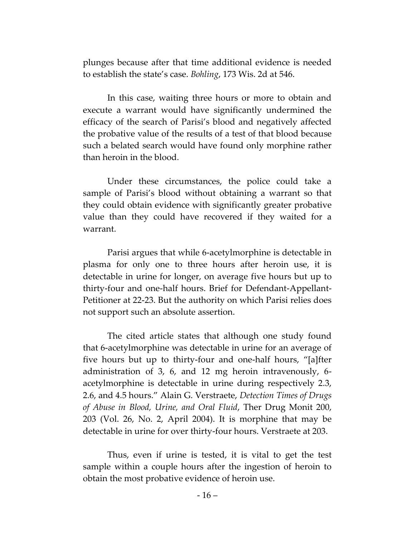plunges because after that time additional evidence is needed to establish the state's case. *Bohling*, 173 Wis. 2d at 546.

In this case, waiting three hours or more to obtain and execute a warrant would have significantly undermined the efficacy of the search of Parisi's blood and negatively affected the probative value of the results of a test of that blood because such a belated search would have found only morphine rather than heroin in the blood.

Under these circumstances, the police could take a sample of Parisi's blood without obtaining a warrant so that they could obtain evidence with significantly greater probative value than they could have recovered if they waited for a warrant.

Parisi argues that while 6-acetylmorphine is detectable in plasma for only one to three hours after heroin use, it is detectable in urine for longer, on average five hours but up to thirty-four and one-half hours. Brief for Defendant-Appellant-Petitioner at 22-23. But the authority on which Parisi relies does not support such an absolute assertion.

The cited article states that although one study found that 6-acetylmorphine was detectable in urine for an average of five hours but up to thirty-four and one-half hours, "[a]fter administration of 3, 6, and 12 mg heroin intravenously, 6 acetylmorphine is detectable in urine during respectively 2.3, 2.6, and 4.5 hours." Alain G. Verstraete, *Detection Times of Drugs of Abuse in Blood, Urine, and Oral Fluid*, Ther Drug Monit 200, 203 (Vol. 26, No. 2, April 2004). It is morphine that may be detectable in urine for over thirty-four hours. Verstraete at 203.

Thus, even if urine is tested, it is vital to get the test sample within a couple hours after the ingestion of heroin to obtain the most probative evidence of heroin use.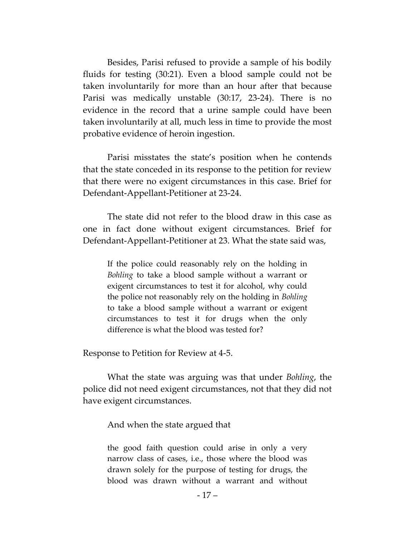Besides, Parisi refused to provide a sample of his bodily fluids for testing (30:21). Even a blood sample could not be taken involuntarily for more than an hour after that because Parisi was medically unstable (30:17, 23-24). There is no evidence in the record that a urine sample could have been taken involuntarily at all, much less in time to provide the most probative evidence of heroin ingestion.

Parisi misstates the state's position when he contends that the state conceded in its response to the petition for review that there were no exigent circumstances in this case. Brief for Defendant-Appellant-Petitioner at 23-24.

The state did not refer to the blood draw in this case as one in fact done without exigent circumstances. Brief for Defendant-Appellant-Petitioner at 23. What the state said was,

If the police could reasonably rely on the holding in *Bohling* to take a blood sample without a warrant or exigent circumstances to test it for alcohol, why could the police not reasonably rely on the holding in *Bohling* to take a blood sample without a warrant or exigent circumstances to test it for drugs when the only difference is what the blood was tested for?

Response to Petition for Review at 4-5.

What the state was arguing was that under *Bohling*, the police did not need exigent circumstances, not that they did not have exigent circumstances.

And when the state argued that

the good faith question could arise in only a very narrow class of cases, i.e., those where the blood was drawn solely for the purpose of testing for drugs, the blood was drawn without a warrant and without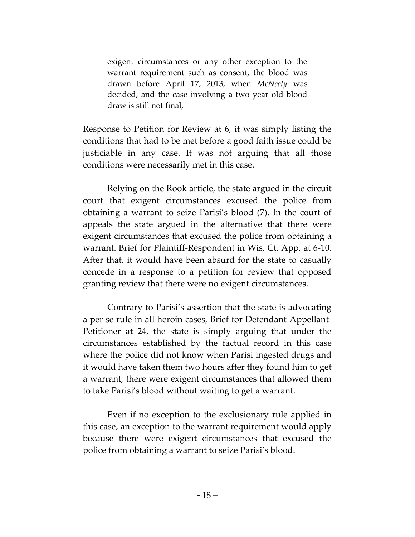exigent circumstances or any other exception to the warrant requirement such as consent, the blood was drawn before April 17, 2013, when *McNeely* was decided, and the case involving a two year old blood draw is still not final,

Response to Petition for Review at 6, it was simply listing the conditions that had to be met before a good faith issue could be justiciable in any case. It was not arguing that all those conditions were necessarily met in this case.

Relying on the Rook article, the state argued in the circuit court that exigent circumstances excused the police from obtaining a warrant to seize Parisi's blood (7). In the court of appeals the state argued in the alternative that there were exigent circumstances that excused the police from obtaining a warrant. Brief for Plaintiff-Respondent in Wis. Ct. App. at 6-10. After that, it would have been absurd for the state to casually concede in a response to a petition for review that opposed granting review that there were no exigent circumstances.

Contrary to Parisi's assertion that the state is advocating a per se rule in all heroin cases, Brief for Defendant-Appellant-Petitioner at 24, the state is simply arguing that under the circumstances established by the factual record in this case where the police did not know when Parisi ingested drugs and it would have taken them two hours after they found him to get a warrant, there were exigent circumstances that allowed them to take Parisi's blood without waiting to get a warrant.

Even if no exception to the exclusionary rule applied in this case, an exception to the warrant requirement would apply because there were exigent circumstances that excused the police from obtaining a warrant to seize Parisi's blood.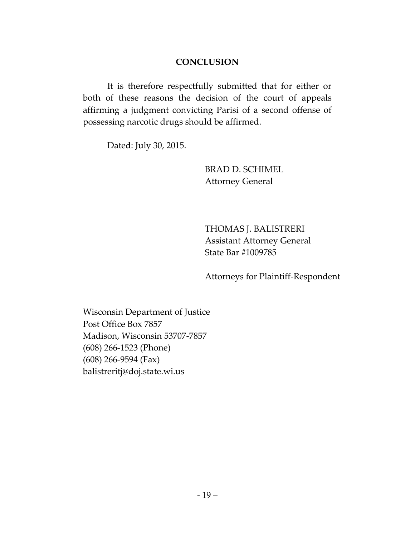### **CONCLUSION**

It is therefore respectfully submitted that for either or both of these reasons the decision of the court of appeals affirming a judgment convicting Parisi of a second offense of possessing narcotic drugs should be affirmed.

Dated: July 30, 2015.

BRAD D. SCHIMEL Attorney General

THOMAS J. BALISTRERI Assistant Attorney General State Bar #1009785

Attorneys for Plaintiff-Respondent

Wisconsin Department of Justice Post Office Box 7857 Madison, Wisconsin 53707-7857 (608) 266-1523 (Phone) (608) 266-9594 (Fax) balistreritj@doj.state.wi.us